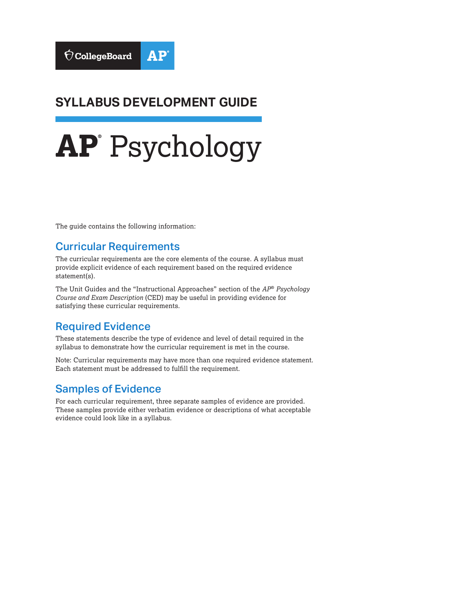### **SYLLABUS DEVELOPMENT GUIDE**

# **AP®** Psychology

The guide contains the following information:

#### Curricular Requirements

The curricular requirements are the core elements of the course. A syllabus must provide explicit evidence of each requirement based on the required evidence statement(s).

The Unit Guides and the "Instructional Approaches" section of the *AP*® *Psychology Course and Exam Description* (CED) may be useful in providing evidence for satisfying these curricular requirements.

#### Required Evidence

These statements describe the type of evidence and level of detail required in the syllabus to demonstrate how the curricular requirement is met in the course.

Note: Curricular requirements may have more than one required evidence statement. Each statement must be addressed to fulfill the requirement.

#### Samples of Evidence

For each curricular requirement, three separate samples of evidence are provided. These samples provide either verbatim evidence or descriptions of what acceptable evidence could look like in a syllabus.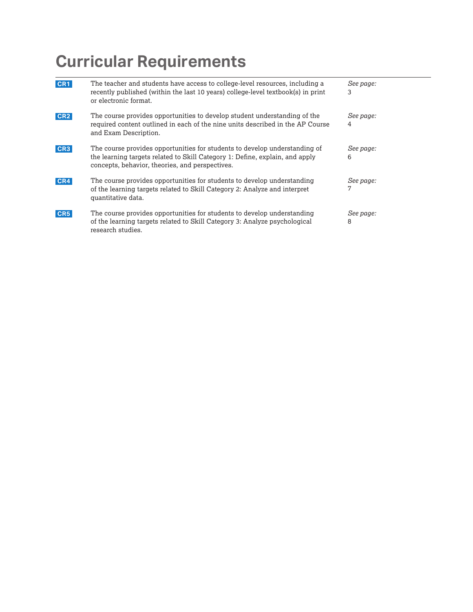| CR <sub>1</sub> | The teacher and students have access to college-level resources, including a<br>recently published (within the last 10 years) college-level textbook(s) in print<br>or electronic format.                     | See page:<br>3 |
|-----------------|---------------------------------------------------------------------------------------------------------------------------------------------------------------------------------------------------------------|----------------|
| CR <sub>2</sub> | The course provides opportunities to develop student understanding of the<br>required content outlined in each of the nine units described in the AP Course<br>and Exam Description.                          | See page:<br>4 |
| CR <sub>3</sub> | The course provides opportunities for students to develop understanding of<br>the learning targets related to Skill Category 1: Define, explain, and apply<br>concepts, behavior, theories, and perspectives. | See page:<br>6 |
| CR4             | The course provides opportunities for students to develop understanding<br>of the learning targets related to Skill Category 2: Analyze and interpret<br>quantitative data.                                   | See page:<br>7 |
| CR <sub>5</sub> | The course provides opportunities for students to develop understanding<br>of the learning targets related to Skill Category 3: Analyze psychological<br>research studies.                                    | See page:<br>8 |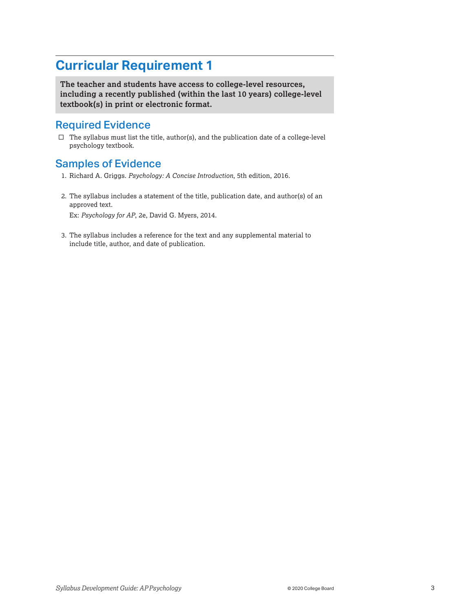<span id="page-2-0"></span>**The teacher and students have access to college-level resources, including a recently published (within the last 10 years) college-level textbook(s) in print or electronic format.** 

#### Required Evidence

 $\square$  The syllabus must list the title, author(s), and the publication date of a college-level psychology textbook.

#### Samples of Evidence

- 1. Richard A. Griggs. *Psychology: A Concise Introduction*, 5th edition, 2016.
- 2. The syllabus includes a statement of the title, publication date, and author(s) of an approved text.

Ex: *Psychology for AP*, 2e, David G. Myers, 2014.

3. The syllabus includes a reference for the text and any supplemental material to include title, author, and date of publication.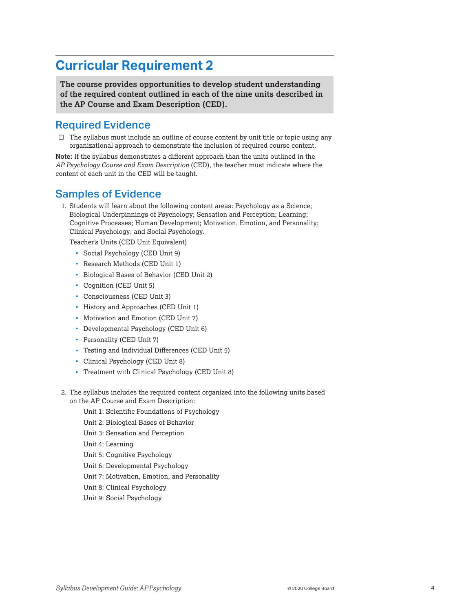<span id="page-3-0"></span>**The course provides opportunities to develop student understanding of the required content outlined in each of the nine units described in the AP Course and Exam Description (CED).** 

#### Required Evidence

 $\Box$  The syllabus must include an outline of course content by unit title or topic using any organizational approach to demonstrate the inclusion of required course content.

**Note:** If the syllabus demonstrates a different approach than the units outlined in the *AP Psychology Course and Exam Description* (CED), the teacher must indicate where the content of each unit in the CED will be taught.

#### Samples of Evidence

1. Students will learn about the following content areas: Psychology as a Science; Biological Underpinnings of Psychology; Sensation and Perception; Learning; Cognitive Processes; Human Development; Motivation, Emotion, and Personality; Clinical Psychology; and Social Psychology.

Teacher's Units (CED Unit Equivalent)

- Social Psychology (CED Unit 9)
- Research Methods (CED Unit 1)
- Biological Bases of Behavior (CED Unit 2)
- Cognition (CED Unit 5)
- Consciousness (CED Unit 3)
- History and Approaches (CED Unit 1)
- Motivation and Emotion (CED Unit 7)
- Developmental Psychology (CED Unit 6)
- Personality (CED Unit 7)
- Testing and Individual Differences (CED Unit 5)
- Clinical Psychology (CED Unit 8)
- Treatment with Clinical Psychology (CED Unit 8)
- 2. The syllabus includes the required content organized into the following units based on the AP Course and Exam Description:
	- Unit 1: Scientific Foundations of Psychology
	- Unit 2: Biological Bases of Behavior
	- Unit 3: Sensation and Perception
	- Unit 4: Learning
	- Unit 5: Cognitive Psychology
	- Unit 6: Developmental Psychology
	- Unit 7: Motivation, Emotion, and Personality
	- Unit 8: Clinical Psychology
	- Unit 9: Social Psychology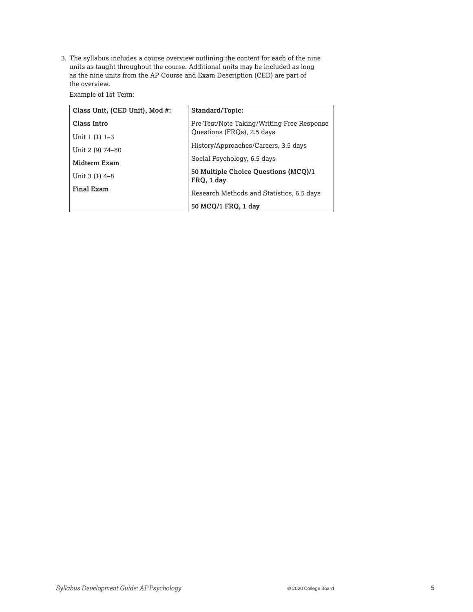3. The syllabus includes a course overview outlining the content for each of the nine units as taught throughout the course. Additional units may be included as long as the nine units from the AP Course and Exam Description (CED) are part of the overview.

Example of 1st Term:

| Class Unit, (CED Unit), Mod #: | Standard/Topic:                                                          |  |
|--------------------------------|--------------------------------------------------------------------------|--|
| Class Intro                    | Pre-Test/Note Taking/Writing Free Response<br>Questions (FRQs), 2.5 days |  |
| Unit $1(1)$ 1-3                |                                                                          |  |
| Unit 2 (9) 74-80               | History/Approaches/Careers, 3.5 days                                     |  |
| Midterm Exam                   | Social Psychology, 6.5 days                                              |  |
| Unit 3 (1) 4-8                 | 50 Multiple Choice Questions (MCQ)/1<br>FRQ, 1 day                       |  |
| <b>Final Exam</b>              | Research Methods and Statistics, 6.5 days                                |  |
|                                | 50 MCQ/1 FRQ, 1 day                                                      |  |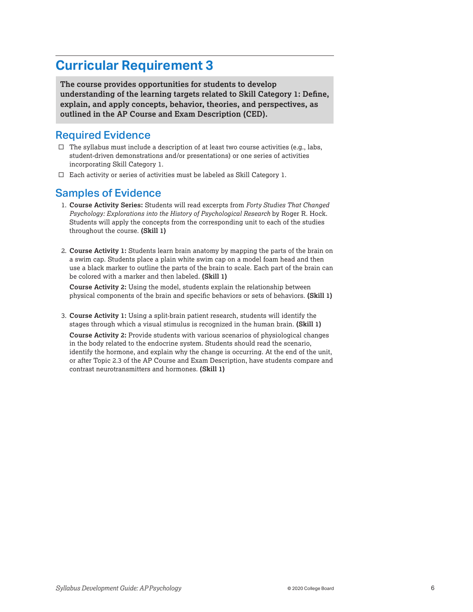<span id="page-5-0"></span>**The course provides opportunities for students to develop understanding of the learning targets related to Skill Category 1: Define, explain, and apply concepts, behavior, theories, and perspectives, as outlined in the AP Course and Exam Description (CED).** 

#### Required Evidence

- $\square$  The syllabus must include a description of at least two course activities (e.g., labs, student-driven demonstrations and/or presentations) or one series of activities incorporating Skill Category 1.
- $\square$  Each activity or series of activities must be labeled as Skill Category 1.

#### Samples of Evidence

- 1. **Course Activity Series:** Students will read excerpts from *Forty Studies That Changed Psychology: Explorations into the History of Psychological Research* by Roger R. Hock. Students will apply the concepts from the corresponding unit to each of the studies throughout the course. **(Skill 1)**
- 2. **Course Activity 1:** Students learn brain anatomy by mapping the parts of the brain on a swim cap. Students place a plain white swim cap on a model foam head and then use a black marker to outline the parts of the brain to scale. Each part of the brain can be colored with a marker and then labeled. **(Skill 1)**

**Course Activity 2:** Using the model, students explain the relationship between physical components of the brain and specific behaviors or sets of behaviors. **(Skill 1)** 

3. **Course Activity 1:** Using a split-brain patient research, students will identify the stages through which a visual stimulus is recognized in the human brain. **(Skill 1)** 

**Course Activity 2:** Provide students with various scenarios of physiological changes in the body related to the endocrine system. Students should read the scenario, identify the hormone, and explain why the change is occurring. At the end of the unit, or after Topic 2.3 of the AP Course and Exam Description, have students compare and contrast neurotransmitters and hormones. **(Skill 1)**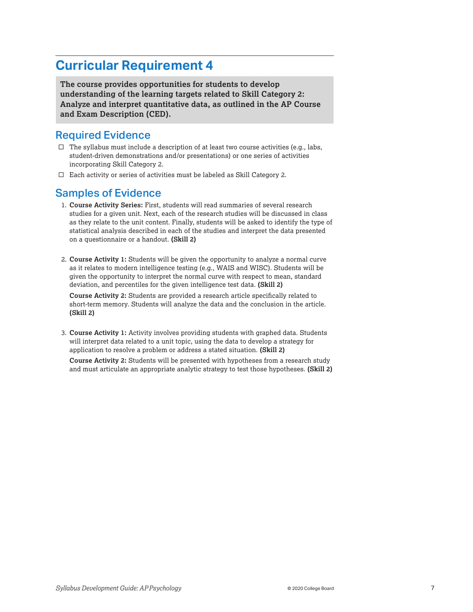<span id="page-6-0"></span>**The course provides opportunities for students to develop understanding of the learning targets related to Skill Category 2: Analyze and interpret quantitative data, as outlined in the AP Course and Exam Description (CED).** 

#### Required Evidence

- $\square$  The syllabus must include a description of at least two course activities (e.g., labs, student-driven demonstrations and/or presentations) or one series of activities incorporating Skill Category 2.
- $\Box$  Each activity or series of activities must be labeled as Skill Category 2.

#### Samples of Evidence

- 1. **Course Activity Series:** First, students will read summaries of several research studies for a given unit. Next, each of the research studies will be discussed in class as they relate to the unit content. Finally, students will be asked to identify the type of statistical analysis described in each of the studies and interpret the data presented on a questionnaire or a handout. **(Skill 2)**
- 2. **Course Activity 1:** Students will be given the opportunity to analyze a normal curve as it relates to modern intelligence testing (e.g., WAIS and WISC). Students will be given the opportunity to interpret the normal curve with respect to mean, standard deviation, and percentiles for the given intelligence test data. **(Skill 2)**

**Course Activity 2:** Students are provided a research article specifically related to short-term memory. Students will analyze the data and the conclusion in the article. **(Skill 2)** 

3. **Course Activity 1:** Activity involves providing students with graphed data. Students will interpret data related to a unit topic, using the data to develop a strategy for application to resolve a problem or address a stated situation. **(Skill 2)** 

**Course Activity 2:** Students will be presented with hypotheses from a research study and must articulate an appropriate analytic strategy to test those hypotheses. **(Skill 2)**